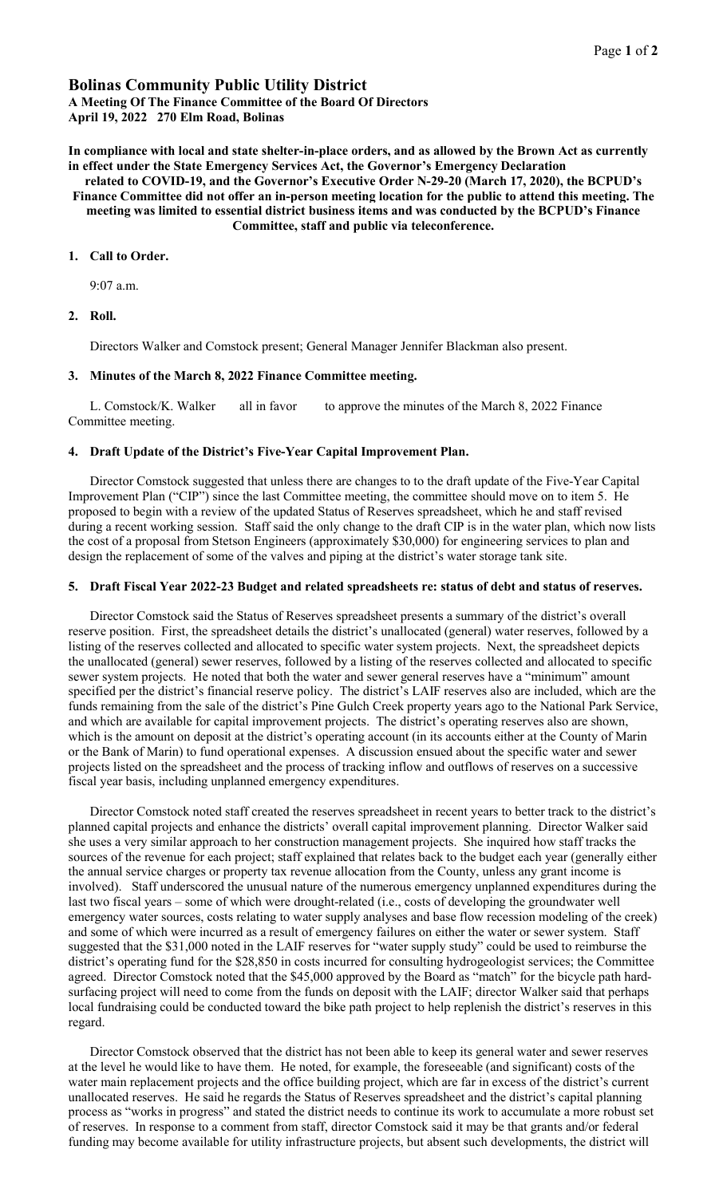# Bolinas Community Public Utility District

A Meeting Of The Finance Committee of the Board Of Directors April 19, 2022 270 Elm Road, Bolinas

In compliance with local and state shelter-in-place orders, and as allowed by the Brown Act as currently in effect under the State Emergency Services Act, the Governor's Emergency Declaration

related to COVID-19, and the Governor's Executive Order N-29-20 (March 17, 2020), the BCPUD's Finance Committee did not offer an in-person meeting location for the public to attend this meeting. The meeting was limited to essential district business items and was conducted by the BCPUD's Finance Committee, staff and public via teleconference.

## 1. Call to Order.

9:07 a.m.

## 2. Roll.

Directors Walker and Comstock present; General Manager Jennifer Blackman also present.

## 3. Minutes of the March 8, 2022 Finance Committee meeting.

L. Comstock/K. Walker all in favor to approve the minutes of the March 8, 2022 Finance Committee meeting.

### 4. Draft Update of the District's Five-Year Capital Improvement Plan.

Director Comstock suggested that unless there are changes to to the draft update of the Five-Year Capital Improvement Plan ("CIP") since the last Committee meeting, the committee should move on to item 5. He proposed to begin with a review of the updated Status of Reserves spreadsheet, which he and staff revised during a recent working session. Staff said the only change to the draft CIP is in the water plan, which now lists the cost of a proposal from Stetson Engineers (approximately \$30,000) for engineering services to plan and design the replacement of some of the valves and piping at the district's water storage tank site.

### 5. Draft Fiscal Year 2022-23 Budget and related spreadsheets re: status of debt and status of reserves.

Director Comstock said the Status of Reserves spreadsheet presents a summary of the district's overall reserve position. First, the spreadsheet details the district's unallocated (general) water reserves, followed by a listing of the reserves collected and allocated to specific water system projects. Next, the spreadsheet depicts the unallocated (general) sewer reserves, followed by a listing of the reserves collected and allocated to specific sewer system projects. He noted that both the water and sewer general reserves have a "minimum" amount specified per the district's financial reserve policy. The district's LAIF reserves also are included, which are the funds remaining from the sale of the district's Pine Gulch Creek property years ago to the National Park Service, and which are available for capital improvement projects. The district's operating reserves also are shown, which is the amount on deposit at the district's operating account (in its accounts either at the County of Marin or the Bank of Marin) to fund operational expenses. A discussion ensued about the specific water and sewer projects listed on the spreadsheet and the process of tracking inflow and outflows of reserves on a successive fiscal year basis, including unplanned emergency expenditures.

Director Comstock noted staff created the reserves spreadsheet in recent years to better track to the district's planned capital projects and enhance the districts' overall capital improvement planning. Director Walker said she uses a very similar approach to her construction management projects. She inquired how staff tracks the sources of the revenue for each project; staff explained that relates back to the budget each year (generally either the annual service charges or property tax revenue allocation from the County, unless any grant income is involved). Staff underscored the unusual nature of the numerous emergency unplanned expenditures during the last two fiscal years – some of which were drought-related (i.e., costs of developing the groundwater well emergency water sources, costs relating to water supply analyses and base flow recession modeling of the creek) and some of which were incurred as a result of emergency failures on either the water or sewer system. Staff suggested that the \$31,000 noted in the LAIF reserves for "water supply study" could be used to reimburse the district's operating fund for the \$28,850 in costs incurred for consulting hydrogeologist services; the Committee agreed. Director Comstock noted that the \$45,000 approved by the Board as "match" for the bicycle path hardsurfacing project will need to come from the funds on deposit with the LAIF; director Walker said that perhaps local fundraising could be conducted toward the bike path project to help replenish the district's reserves in this regard.

Director Comstock observed that the district has not been able to keep its general water and sewer reserves at the level he would like to have them. He noted, for example, the foreseeable (and significant) costs of the water main replacement projects and the office building project, which are far in excess of the district's current unallocated reserves. He said he regards the Status of Reserves spreadsheet and the district's capital planning process as "works in progress" and stated the district needs to continue its work to accumulate a more robust set of reserves. In response to a comment from staff, director Comstock said it may be that grants and/or federal funding may become available for utility infrastructure projects, but absent such developments, the district will